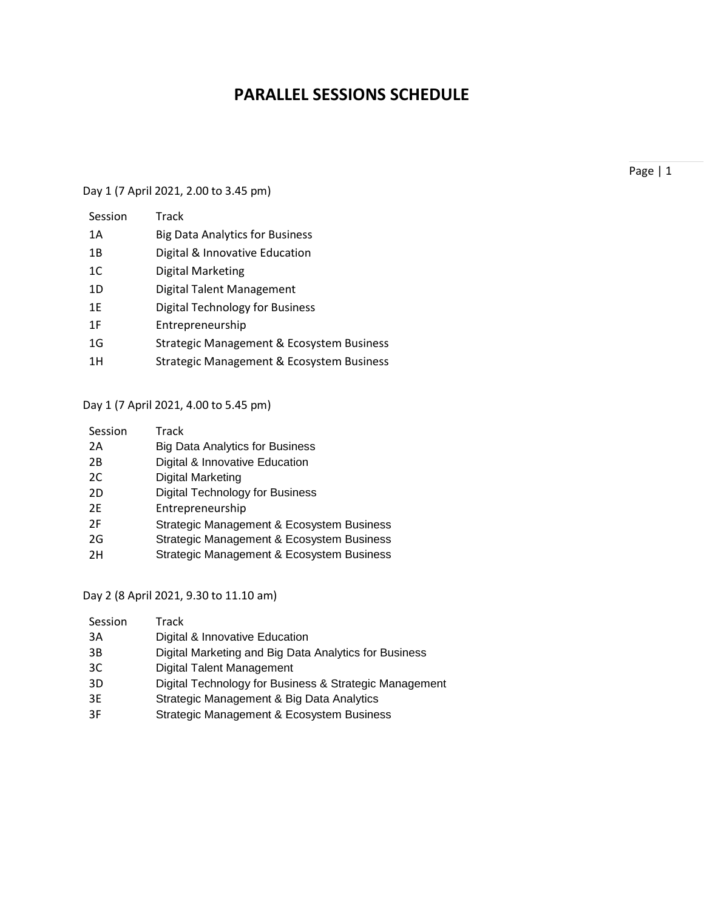## **PARALLEL SESSIONS SCHEDULE**

### Day 1 (7 April 2021, 2.00 to 3.45 pm)

| Session        | Track                                     |
|----------------|-------------------------------------------|
| 1A             | <b>Big Data Analytics for Business</b>    |
| 1B             | Digital & Innovative Education            |
| 1 <sup>C</sup> | Digital Marketing                         |
| 1D             | Digital Talent Management                 |
| 1 E            | <b>Digital Technology for Business</b>    |
| 1 F            | Entrepreneurship                          |
| 1G             | Strategic Management & Ecosystem Business |
| 1H             | Strategic Management & Ecosystem Business |
|                |                                           |

Day 1 (7 April 2021, 4.00 to 5.45 pm)

| Session | Track                                     |
|---------|-------------------------------------------|
| 2Α      | <b>Big Data Analytics for Business</b>    |
| 2B      | Digital & Innovative Education            |
| 2C      | <b>Digital Marketing</b>                  |
| 2D      | <b>Digital Technology for Business</b>    |
| 2F      | Entrepreneurship                          |
| 2F      | Strategic Management & Ecosystem Business |
| 2G      | Strategic Management & Ecosystem Business |
| 2H      | Strategic Management & Ecosystem Business |

Day 2 (8 April 2021, 9.30 to 11.10 am)

| Session | Track                                                  |
|---------|--------------------------------------------------------|
| 3A      | Digital & Innovative Education                         |
| 3B      | Digital Marketing and Big Data Analytics for Business  |
| 3C      | <b>Digital Talent Management</b>                       |
| 3D      | Digital Technology for Business & Strategic Management |
| 3E      | Strategic Management & Big Data Analytics              |
| 3F      | Strategic Management & Ecosystem Business              |
|         |                                                        |

Page | 1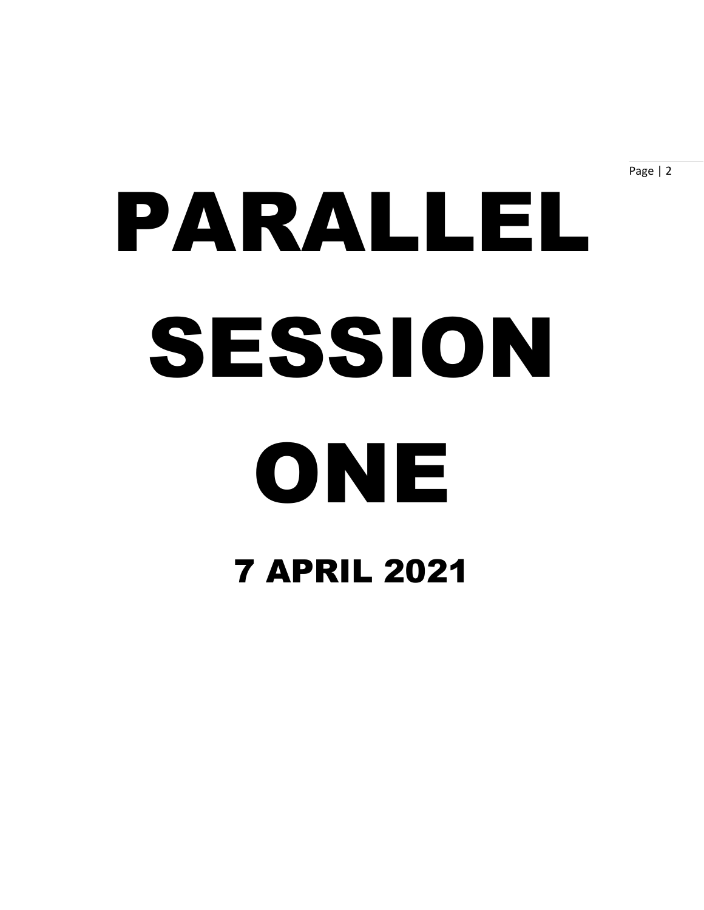Page | 2

# PARALLEL SESSION ONE 7 APRIL 2021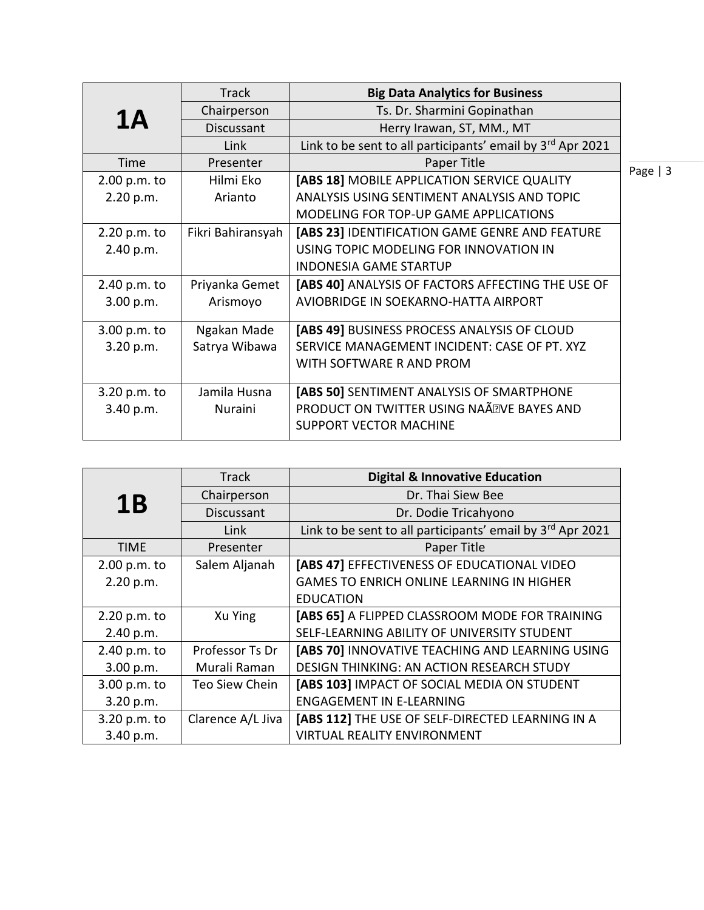|              | <b>Track</b>      | <b>Big Data Analytics for Business</b>                     |           |
|--------------|-------------------|------------------------------------------------------------|-----------|
| 1A           | Chairperson       | Ts. Dr. Sharmini Gopinathan                                |           |
|              | Discussant        | Herry Irawan, ST, MM., MT                                  |           |
|              | Link              | Link to be sent to all participants' email by 3rd Apr 2021 |           |
| Time         | Presenter         | Paper Title                                                | Page $ 3$ |
| 2.00 p.m. to | Hilmi Eko         | [ABS 18] MOBILE APPLICATION SERVICE QUALITY                |           |
| 2.20 p.m.    | Arianto           | ANALYSIS USING SENTIMENT ANALYSIS AND TOPIC                |           |
|              |                   | MODELING FOR TOP-UP GAME APPLICATIONS                      |           |
| 2.20 p.m. to | Fikri Bahiransyah | [ABS 23] IDENTIFICATION GAME GENRE AND FEATURE             |           |
| 2.40 p.m.    |                   | USING TOPIC MODELING FOR INNOVATION IN                     |           |
|              |                   | <b>INDONESIA GAME STARTUP</b>                              |           |
| 2.40 p.m. to | Priyanka Gemet    | [ABS 40] ANALYSIS OF FACTORS AFFECTING THE USE OF          |           |
| 3.00 p.m.    | Arismoyo          | AVIOBRIDGE IN SOEKARNO-HATTA AIRPORT                       |           |
|              |                   |                                                            |           |
| 3.00 p.m. to | Ngakan Made       | [ABS 49] BUSINESS PROCESS ANALYSIS OF CLOUD                |           |
| 3.20 p.m.    | Satrya Wibawa     | SERVICE MANAGEMENT INCIDENT: CASE OF PT. XYZ               |           |
|              |                   | WITH SOFTWARE R AND PROM                                   |           |
| 3.20 p.m. to | Jamila Husna      | [ABS 50] SENTIMENT ANALYSIS OF SMARTPHONE                  |           |
|              | Nuraini           | PRODUCT ON TWITTER USING NAÃ <sup>®</sup> VE BAYES AND     |           |
| 3.40 p.m.    |                   | <b>SUPPORT VECTOR MACHINE</b>                              |           |
|              |                   |                                                            |           |

|              | <b>Track</b>      | <b>Digital &amp; Innovative Education</b>                  |
|--------------|-------------------|------------------------------------------------------------|
| 1B           | Chairperson       | Dr. Thai Siew Bee                                          |
|              | Discussant        | Dr. Dodie Tricahyono                                       |
|              | Link              | Link to be sent to all participants' email by 3rd Apr 2021 |
| <b>TIME</b>  | Presenter         | Paper Title                                                |
| 2.00 p.m. to | Salem Aljanah     | [ABS 47] EFFECTIVENESS OF EDUCATIONAL VIDEO                |
| 2.20 p.m.    |                   | <b>GAMES TO ENRICH ONLINE LEARNING IN HIGHER</b>           |
|              |                   | <b>EDUCATION</b>                                           |
| 2.20 p.m. to | Xu Ying           | [ABS 65] A FLIPPED CLASSROOM MODE FOR TRAINING             |
| 2.40 p.m.    |                   | SELF-LEARNING ABILITY OF UNIVERSITY STUDENT                |
| 2.40 p.m. to | Professor Ts Dr   | [ABS 70] INNOVATIVE TEACHING AND LEARNING USING            |
| 3.00 p.m.    | Murali Raman      | DESIGN THINKING: AN ACTION RESEARCH STUDY                  |
| 3.00 p.m. to | Teo Siew Chein    | [ABS 103] IMPACT OF SOCIAL MEDIA ON STUDENT                |
| 3.20 p.m.    |                   | <b>ENGAGEMENT IN E-LEARNING</b>                            |
| 3.20 p.m. to | Clarence A/L Jiva | [ABS 112] THE USE OF SELF-DIRECTED LEARNING IN A           |
| 3.40 p.m.    |                   | VIRTUAL REALITY ENVIRONMENT                                |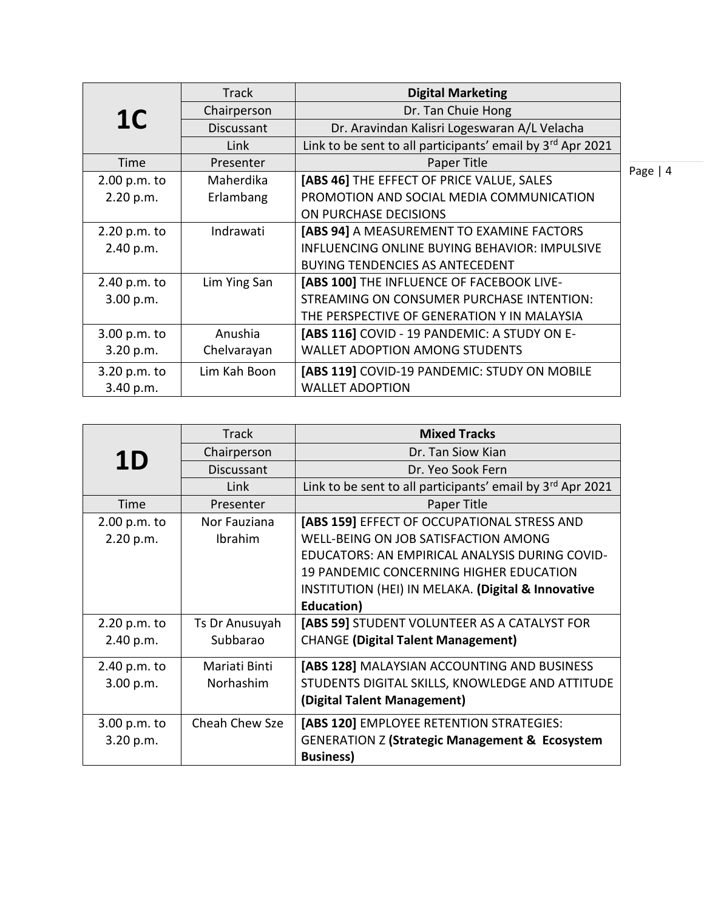|                | <b>Track</b> | <b>Digital Marketing</b>                                   |      |
|----------------|--------------|------------------------------------------------------------|------|
| 1 <sup>C</sup> | Chairperson  | Dr. Tan Chuie Hong                                         |      |
|                | Discussant   | Dr. Aravindan Kalisri Logeswaran A/L Velacha               |      |
|                | Link         | Link to be sent to all participants' email by 3rd Apr 2021 |      |
| Time           | Presenter    | Paper Title                                                | Page |
| 2.00 p.m. to   | Maherdika    | [ABS 46] THE EFFECT OF PRICE VALUE, SALES                  |      |
| 2.20 p.m.      | Erlambang    | PROMOTION AND SOCIAL MEDIA COMMUNICATION                   |      |
|                |              | ON PURCHASE DECISIONS                                      |      |
| 2.20 p.m. to   | Indrawati    | [ABS 94] A MEASUREMENT TO EXAMINE FACTORS                  |      |
| 2.40 p.m.      |              | INFLUENCING ONLINE BUYING BEHAVIOR: IMPULSIVE              |      |
|                |              | <b>BUYING TENDENCIES AS ANTECEDENT</b>                     |      |
| 2.40 p.m. to   | Lim Ying San | [ABS 100] THE INFLUENCE OF FACEBOOK LIVE-                  |      |
| 3.00 p.m.      |              | STREAMING ON CONSUMER PURCHASE INTENTION:                  |      |
|                |              | THE PERSPECTIVE OF GENERATION Y IN MALAYSIA                |      |
| 3.00 p.m. to   | Anushia      | [ABS 116] COVID - 19 PANDEMIC: A STUDY ON E-               |      |
| 3.20 p.m.      | Chelvarayan  | <b>WALLET ADOPTION AMONG STUDENTS</b>                      |      |
| 3.20 p.m. to   | Lim Kah Boon | [ABS 119] COVID-19 PANDEMIC: STUDY ON MOBILE               |      |
| 3.40 p.m.      |              | <b>WALLET ADOPTION</b>                                     |      |

 $\overline{4}$ 

|              | <b>Track</b>   | <b>Mixed Tracks</b>                                        |
|--------------|----------------|------------------------------------------------------------|
| <b>1D</b>    | Chairperson    | Dr. Tan Siow Kian                                          |
|              | Discussant     | Dr. Yeo Sook Fern                                          |
|              | Link           | Link to be sent to all participants' email by 3rd Apr 2021 |
| Time         | Presenter      | Paper Title                                                |
| 2.00 p.m. to | Nor Fauziana   | [ABS 159] EFFECT OF OCCUPATIONAL STRESS AND                |
| 2.20 p.m.    | Ibrahim        | WELL-BEING ON JOB SATISFACTION AMONG                       |
|              |                | EDUCATORS: AN EMPIRICAL ANALYSIS DURING COVID-             |
|              |                | 19 PANDEMIC CONCERNING HIGHER EDUCATION                    |
|              |                | INSTITUTION (HEI) IN MELAKA. (Digital & Innovative         |
|              |                | Education)                                                 |
| 2.20 p.m. to | Ts Dr Anusuyah | [ABS 59] STUDENT VOLUNTEER AS A CATALYST FOR               |
| 2.40 p.m.    | Subbarao       | <b>CHANGE (Digital Talent Management)</b>                  |
| 2.40 p.m. to | Mariati Binti  | [ABS 128] MALAYSIAN ACCOUNTING AND BUSINESS                |
| 3.00 p.m.    | Norhashim      | STUDENTS DIGITAL SKILLS, KNOWLEDGE AND ATTITUDE            |
|              |                | (Digital Talent Management)                                |
| 3.00 p.m. to | Cheah Chew Sze | [ABS 120] EMPLOYEE RETENTION STRATEGIES:                   |
| 3.20 p.m.    |                | <b>GENERATION Z (Strategic Management &amp; Ecosystem</b>  |
|              |                | <b>Business)</b>                                           |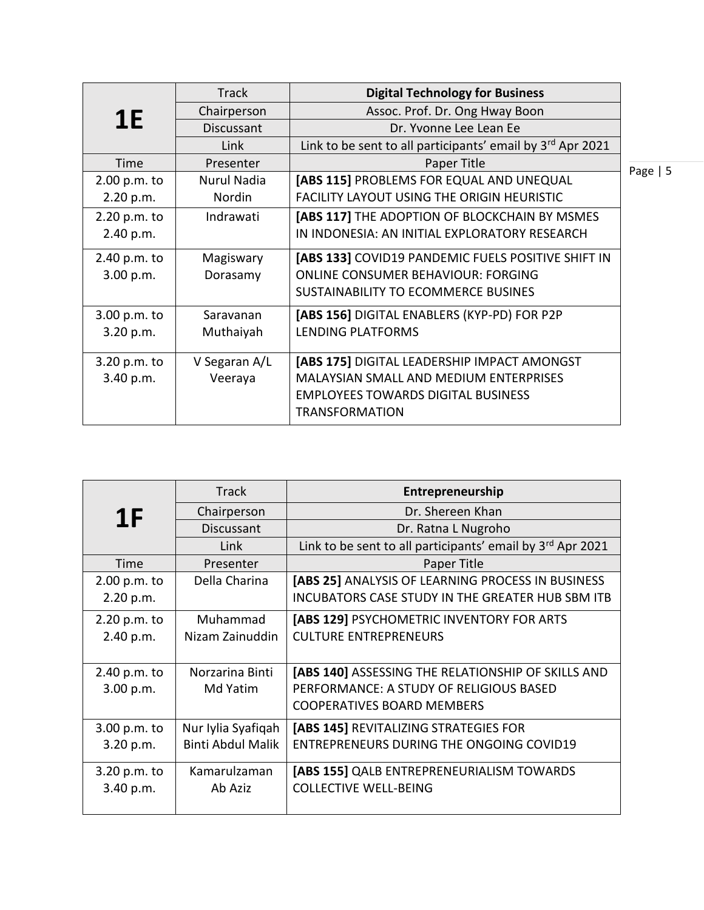|              | <b>Track</b>      | <b>Digital Technology for Business</b>                     |            |
|--------------|-------------------|------------------------------------------------------------|------------|
| <b>1E</b>    | Chairperson       | Assoc. Prof. Dr. Ong Hway Boon                             |            |
|              | <b>Discussant</b> | Dr. Yvonne Lee Lean Ee                                     |            |
|              | Link              | Link to be sent to all participants' email by 3rd Apr 2021 |            |
| Time         | Presenter         | Paper Title                                                | Page $  5$ |
| 2.00 p.m. to | Nurul Nadia       | [ABS 115] PROBLEMS FOR EQUAL AND UNEQUAL                   |            |
| 2.20 p.m.    | <b>Nordin</b>     | <b>FACILITY LAYOUT USING THE ORIGIN HEURISTIC</b>          |            |
| 2.20 p.m. to | Indrawati         | [ABS 117] THE ADOPTION OF BLOCKCHAIN BY MSMES              |            |
| 2.40 p.m.    |                   | IN INDONESIA: AN INITIAL EXPLORATORY RESEARCH              |            |
| 2.40 p.m. to | Magiswary         | [ABS 133] COVID19 PANDEMIC FUELS POSITIVE SHIFT IN         |            |
| 3.00 p.m.    | Dorasamy          | <b>ONLINE CONSUMER BEHAVIOUR: FORGING</b>                  |            |
|              |                   | SUSTAINABILITY TO ECOMMERCE BUSINES                        |            |
| 3.00 p.m. to | Saravanan         | [ABS 156] DIGITAL ENABLERS (KYP-PD) FOR P2P                |            |
| 3.20 p.m.    | Muthaiyah         | LENDING PLATFORMS                                          |            |
| 3.20 p.m. to | V Segaran A/L     | [ABS 175] DIGITAL LEADERSHIP IMPACT AMONGST                |            |
| 3.40 p.m.    | Veeraya           | <b>MALAYSIAN SMALL AND MEDIUM ENTERPRISES</b>              |            |
|              |                   | <b>EMPLOYEES TOWARDS DIGITAL BUSINESS</b>                  |            |
|              |                   | <b>TRANSFORMATION</b>                                      |            |

|                | <b>Track</b>             | Entrepreneurship                                           |
|----------------|--------------------------|------------------------------------------------------------|
| 1 <sub>F</sub> | Chairperson              | Dr. Shereen Khan                                           |
|                | Discussant               | Dr. Ratna L Nugroho                                        |
|                | Link                     | Link to be sent to all participants' email by 3rd Apr 2021 |
| Time           | Presenter                | Paper Title                                                |
| 2.00 p.m. to   | Della Charina            | [ABS 25] ANALYSIS OF LEARNING PROCESS IN BUSINESS          |
| 2.20 p.m.      |                          | INCUBATORS CASE STUDY IN THE GREATER HUB SBM ITB           |
| 2.20 p.m. to   | Muhammad                 | [ABS 129] PSYCHOMETRIC INVENTORY FOR ARTS                  |
| 2.40 p.m.      | Nizam Zainuddin          | <b>CULTURE ENTREPRENEURS</b>                               |
|                |                          |                                                            |
| 2.40 p.m. to   | Norzarina Binti          | [ABS 140] ASSESSING THE RELATIONSHIP OF SKILLS AND         |
| 3.00 p.m.      | Md Yatim                 | PERFORMANCE: A STUDY OF RELIGIOUS BASED                    |
|                |                          | <b>COOPERATIVES BOARD MEMBERS</b>                          |
| 3.00 p.m. to   | Nur Iylia Syafiqah       | [ABS 145] REVITALIZING STRATEGIES FOR                      |
| 3.20 p.m.      | <b>Binti Abdul Malik</b> | <b>ENTREPRENEURS DURING THE ONGOING COVID19</b>            |
| 3.20 p.m. to   | Kamarulzaman             | [ABS 155] QALB ENTREPRENEURIALISM TOWARDS                  |
| 3.40 p.m.      | Ab Aziz                  | <b>COLLECTIVE WELL-BEING</b>                               |
|                |                          |                                                            |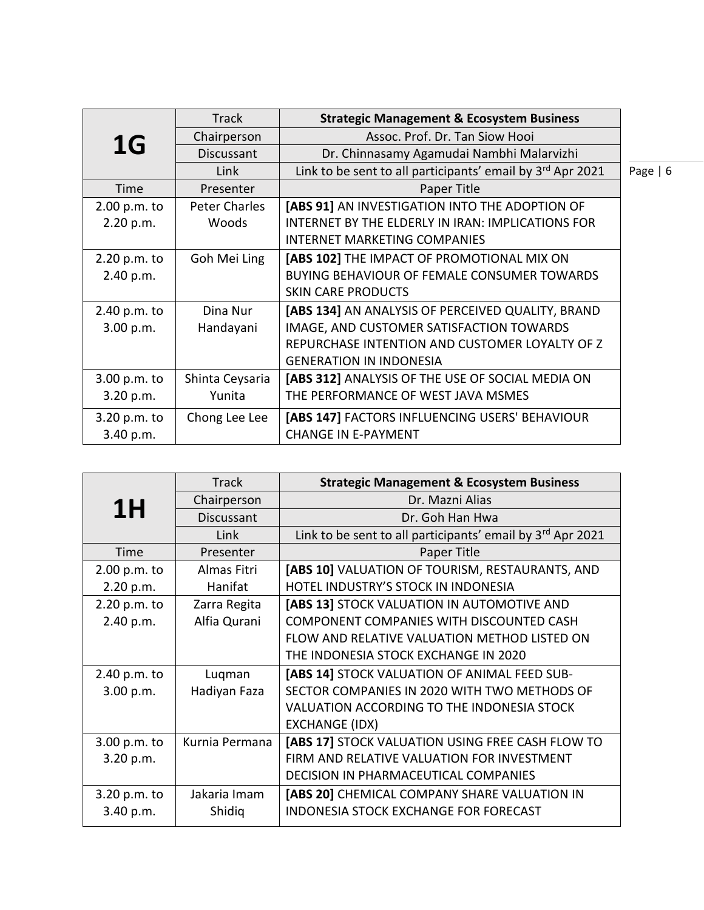|              | <b>Track</b>    | <b>Strategic Management &amp; Ecosystem Business</b>       |            |
|--------------|-----------------|------------------------------------------------------------|------------|
| 1G           | Chairperson     | Assoc. Prof. Dr. Tan Siow Hooi                             |            |
|              | Discussant      | Dr. Chinnasamy Agamudai Nambhi Malarvizhi                  |            |
|              | Link            | Link to be sent to all participants' email by 3rd Apr 2021 | Page $  6$ |
| Time         | Presenter       | Paper Title                                                |            |
| 2.00 p.m. to | Peter Charles   | [ABS 91] AN INVESTIGATION INTO THE ADOPTION OF             |            |
| 2.20 p.m.    | Woods           | INTERNET BY THE ELDERLY IN IRAN: IMPLICATIONS FOR          |            |
|              |                 | <b>INTERNET MARKETING COMPANIES</b>                        |            |
| 2.20 p.m. to | Goh Mei Ling    | [ABS 102] THE IMPACT OF PROMOTIONAL MIX ON                 |            |
| 2.40 p.m.    |                 | BUYING BEHAVIOUR OF FEMALE CONSUMER TOWARDS                |            |
|              |                 | <b>SKIN CARE PRODUCTS</b>                                  |            |
| 2.40 p.m. to | Dina Nur        | [ABS 134] AN ANALYSIS OF PERCEIVED QUALITY, BRAND          |            |
| 3.00 p.m.    | Handayani       | IMAGE, AND CUSTOMER SATISFACTION TOWARDS                   |            |
|              |                 | REPURCHASE INTENTION AND CUSTOMER LOYALTY OF Z             |            |
|              |                 | <b>GENERATION IN INDONESIA</b>                             |            |
| 3.00 p.m. to | Shinta Ceysaria | [ABS 312] ANALYSIS OF THE USE OF SOCIAL MEDIA ON           |            |
| 3.20 p.m.    | Yunita          | THE PERFORMANCE OF WEST JAVA MSMES                         |            |
| 3.20 p.m. to | Chong Lee Lee   | [ABS 147] FACTORS INFLUENCING USERS' BEHAVIOUR             |            |
| 3.40 p.m.    |                 | <b>CHANGE IN E-PAYMENT</b>                                 |            |

|              | <b>Track</b>   | <b>Strategic Management &amp; Ecosystem Business</b>                   |
|--------------|----------------|------------------------------------------------------------------------|
| 1H           | Chairperson    | Dr. Mazni Alias                                                        |
|              | Discussant     | Dr. Goh Han Hwa                                                        |
|              | Link           | Link to be sent to all participants' email by 3 <sup>rd</sup> Apr 2021 |
| Time         | Presenter      | Paper Title                                                            |
| 2.00 p.m. to | Almas Fitri    | [ABS 10] VALUATION OF TOURISM, RESTAURANTS, AND                        |
| 2.20 p.m.    | Hanifat        | HOTEL INDUSTRY'S STOCK IN INDONESIA                                    |
| 2.20 p.m. to | Zarra Regita   | [ABS 13] STOCK VALUATION IN AUTOMOTIVE AND                             |
| 2.40 p.m.    | Alfia Qurani   | COMPONENT COMPANIES WITH DISCOUNTED CASH                               |
|              |                | FLOW AND RELATIVE VALUATION METHOD LISTED ON                           |
|              |                | THE INDONESIA STOCK EXCHANGE IN 2020                                   |
| 2.40 p.m. to | Luqman         | [ABS 14] STOCK VALUATION OF ANIMAL FEED SUB-                           |
| 3.00 p.m.    | Hadiyan Faza   | SECTOR COMPANIES IN 2020 WITH TWO METHODS OF                           |
|              |                | VALUATION ACCORDING TO THE INDONESIA STOCK                             |
|              |                | <b>EXCHANGE (IDX)</b>                                                  |
| 3.00 p.m. to | Kurnia Permana | [ABS 17] STOCK VALUATION USING FREE CASH FLOW TO                       |
| 3.20 p.m.    |                | FIRM AND RELATIVE VALUATION FOR INVESTMENT                             |
|              |                | DECISION IN PHARMACEUTICAL COMPANIES                                   |
| 3.20 p.m. to | Jakaria Imam   | [ABS 20] CHEMICAL COMPANY SHARE VALUATION IN                           |
| 3.40 p.m.    | Shidig         | <b>INDONESIA STOCK EXCHANGE FOR FORECAST</b>                           |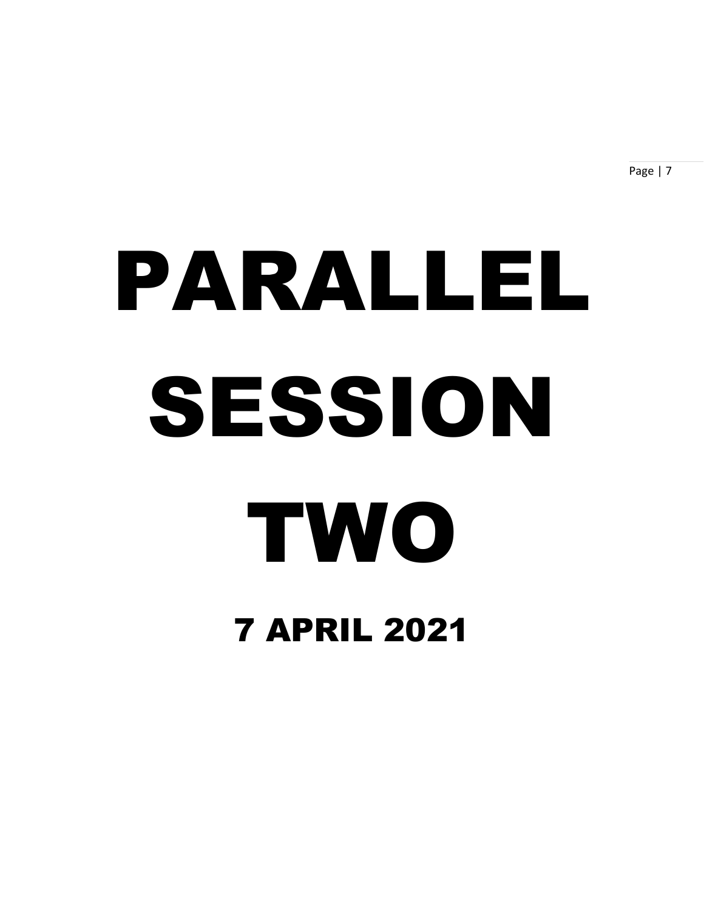Page | 7

# PARALLEL SESSION TWO 7 APRIL 2021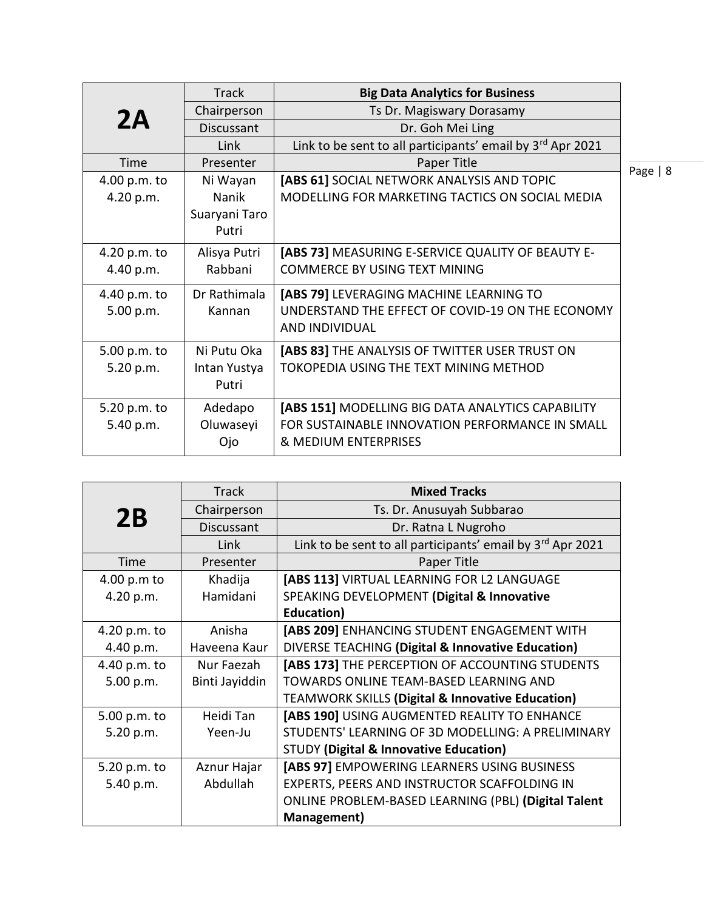|              | <b>Track</b>  | <b>Big Data Analytics for Business</b>                     |      |
|--------------|---------------|------------------------------------------------------------|------|
| 2A           | Chairperson   | Ts Dr. Magiswary Dorasamy                                  |      |
|              | Discussant    | Dr. Goh Mei Ling                                           |      |
|              | Link          | Link to be sent to all participants' email by 3rd Apr 2021 |      |
| Time         | Presenter     | Paper Title                                                | Page |
| 4.00 p.m. to | Ni Wayan      | [ABS 61] SOCIAL NETWORK ANALYSIS AND TOPIC                 |      |
| 4.20 p.m.    | Nanik         | MODELLING FOR MARKETING TACTICS ON SOCIAL MEDIA            |      |
|              | Suaryani Taro |                                                            |      |
|              | Putri         |                                                            |      |
| 4.20 p.m. to | Alisya Putri  | [ABS 73] MEASURING E-SERVICE QUALITY OF BEAUTY E-          |      |
| 4.40 p.m.    | Rabbani       | <b>COMMERCE BY USING TEXT MINING</b>                       |      |
| 4.40 p.m. to | Dr Rathimala  | [ABS 79] LEVERAGING MACHINE LEARNING TO                    |      |
| 5.00 p.m.    | Kannan        | UNDERSTAND THE EFFECT OF COVID-19 ON THE ECONOMY           |      |
|              |               | <b>AND INDIVIDUAL</b>                                      |      |
| 5.00 p.m. to | Ni Putu Oka   | [ABS 83] THE ANALYSIS OF TWITTER USER TRUST ON             |      |
| 5.20 p.m.    | Intan Yustya  | TOKOPEDIA USING THE TEXT MINING METHOD                     |      |
|              | Putri         |                                                            |      |
| 5.20 p.m. to | Adedapo       | [ABS 151] MODELLING BIG DATA ANALYTICS CAPABILITY          |      |
| 5.40 p.m.    | Oluwaseyi     | FOR SUSTAINABLE INNOVATION PERFORMANCE IN SMALL            |      |
|              | Ojo           | & MEDIUM ENTERPRISES                                       |      |
|              |               |                                                            |      |

| 2B           | <b>Track</b>      | <b>Mixed Tracks</b>                                         |
|--------------|-------------------|-------------------------------------------------------------|
|              | Chairperson       | Ts. Dr. Anusuyah Subbarao                                   |
|              | <b>Discussant</b> | Dr. Ratna L Nugroho                                         |
|              | Link              | Link to be sent to all participants' email by 3rd Apr 2021  |
| Time         | Presenter         | Paper Title                                                 |
| 4.00 p.m to  | Khadija           | [ABS 113] VIRTUAL LEARNING FOR L2 LANGUAGE                  |
| 4.20 p.m.    | Hamidani          | SPEAKING DEVELOPMENT (Digital & Innovative                  |
|              |                   | <b>Education</b> )                                          |
| 4.20 p.m. to | Anisha            | [ABS 209] ENHANCING STUDENT ENGAGEMENT WITH                 |
| 4.40 p.m.    | Haveena Kaur      | DIVERSE TEACHING (Digital & Innovative Education)           |
| 4.40 p.m. to | Nur Faezah        | [ABS 173] THE PERCEPTION OF ACCOUNTING STUDENTS             |
| 5.00 p.m.    | Binti Jayiddin    | TOWARDS ONLINE TEAM-BASED LEARNING AND                      |
|              |                   | <b>TEAMWORK SKILLS (Digital &amp; Innovative Education)</b> |
| 5.00 p.m. to | Heidi Tan         | [ABS 190] USING AUGMENTED REALITY TO ENHANCE                |
| 5.20 p.m.    | Yeen-Ju           | STUDENTS' LEARNING OF 3D MODELLING: A PRELIMINARY           |
|              |                   | <b>STUDY (Digital &amp; Innovative Education)</b>           |
| 5.20 p.m. to | Aznur Hajar       | [ABS 97] EMPOWERING LEARNERS USING BUSINESS                 |
| 5.40 p.m.    | Abdullah          | EXPERTS, PEERS AND INSTRUCTOR SCAFFOLDING IN                |
|              |                   | ONLINE PROBLEM-BASED LEARNING (PBL) (Digital Talent         |
|              |                   | Management)                                                 |

e | 8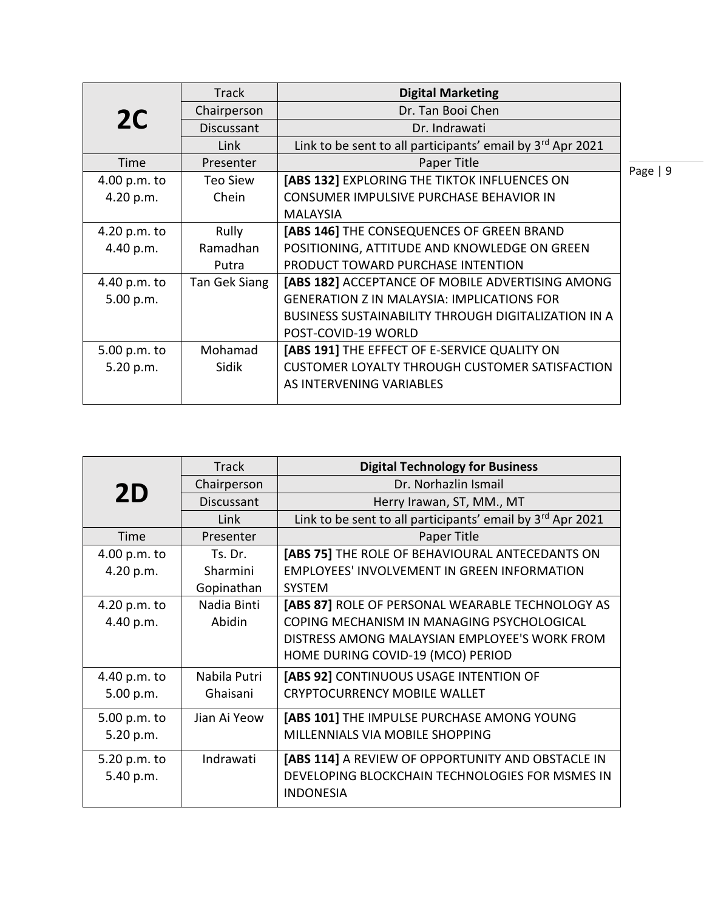|                | <b>Track</b>  | <b>Digital Marketing</b>                                   |           |
|----------------|---------------|------------------------------------------------------------|-----------|
| 2 <sup>C</sup> | Chairperson   | Dr. Tan Booi Chen                                          |           |
|                | Discussant    | Dr. Indrawati                                              |           |
|                | Link          | Link to be sent to all participants' email by 3rd Apr 2021 |           |
| Time           | Presenter     | Paper Title                                                | Page $ 9$ |
| 4.00 p.m. to   | Teo Siew      | [ABS 132] EXPLORING THE TIKTOK INFLUENCES ON               |           |
| 4.20 p.m.      | Chein         | CONSUMER IMPULSIVE PURCHASE BEHAVIOR IN                    |           |
|                |               | <b>MALAYSIA</b>                                            |           |
| 4.20 p.m. to   | Rully         | [ABS 146] THE CONSEQUENCES OF GREEN BRAND                  |           |
| 4.40 p.m.      | Ramadhan      | POSITIONING, ATTITUDE AND KNOWLEDGE ON GREEN               |           |
|                | Putra         | PRODUCT TOWARD PURCHASE INTENTION                          |           |
| 4.40 p.m. to   | Tan Gek Siang | [ABS 182] ACCEPTANCE OF MOBILE ADVERTISING AMONG           |           |
| 5.00 p.m.      |               | <b>GENERATION Z IN MALAYSIA: IMPLICATIONS FOR</b>          |           |
|                |               | <b>BUSINESS SUSTAINABILITY THROUGH DIGITALIZATION IN A</b> |           |
|                |               | POST-COVID-19 WORLD                                        |           |
| 5.00 p.m. to   | Mohamad       | [ABS 191] THE EFFECT OF E-SERVICE QUALITY ON               |           |
| 5.20 p.m.      | Sidik         | CUSTOMER LOYALTY THROUGH CUSTOMER SATISFACTION             |           |
|                |               | AS INTERVENING VARIABLES                                   |           |
|                |               |                                                            |           |

|              | <b>Track</b> | <b>Digital Technology for Business</b>                              |
|--------------|--------------|---------------------------------------------------------------------|
| 2D           | Chairperson  | Dr. Norhazlin Ismail                                                |
|              | Discussant   | Herry Irawan, ST, MM., MT                                           |
|              | Link         | Link to be sent to all participants' email by 3rd Apr 2021          |
| Time         | Presenter    | Paper Title                                                         |
| 4.00 p.m. to | Ts. Dr.      | [ABS 75] THE ROLE OF BEHAVIOURAL ANTECEDANTS ON                     |
| 4.20 p.m.    | Sharmini     | <b>EMPLOYEES' INVOLVEMENT IN GREEN INFORMATION</b>                  |
|              | Gopinathan   | <b>SYSTEM</b>                                                       |
| 4.20 p.m. to | Nadia Binti  | [ABS 87] ROLE OF PERSONAL WEARABLE TECHNOLOGY AS                    |
| 4.40 p.m.    | Abidin       | COPING MECHANISM IN MANAGING PSYCHOLOGICAL                          |
|              |              | DISTRESS AMONG MALAYSIAN EMPLOYEE'S WORK FROM                       |
|              |              | HOME DURING COVID-19 (MCO) PERIOD                                   |
| 4.40 p.m. to | Nabila Putri | [ABS 92] CONTINUOUS USAGE INTENTION OF                              |
| 5.00 p.m.    | Ghaisani     | <b>CRYPTOCURRENCY MOBILE WALLET</b>                                 |
| 5.00 p.m. to | Jian Ai Yeow | [ABS 101] THE IMPULSE PURCHASE AMONG YOUNG                          |
| 5.20 p.m.    |              | MILLENNIALS VIA MOBILE SHOPPING                                     |
| 5.20 p.m. to | Indrawati    | [ABS 114] A REVIEW OF OPPORTUNITY AND OBSTACLE IN                   |
| 5.40 p.m.    |              | DEVELOPING BLOCKCHAIN TECHNOLOGIES FOR MSMES IN<br><b>INDONESIA</b> |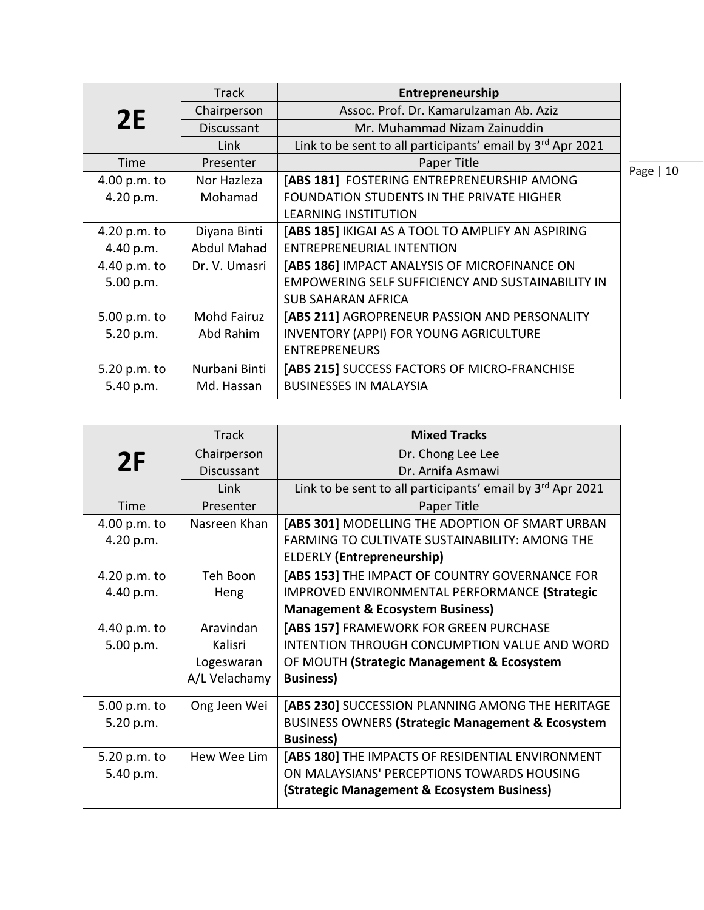| <b>Track</b>       | Entrepreneurship                                           |            |
|--------------------|------------------------------------------------------------|------------|
| Chairperson        | Assoc. Prof. Dr. Kamarulzaman Ab. Aziz                     |            |
| <b>Discussant</b>  | Mr. Muhammad Nizam Zainuddin                               |            |
| Link               | Link to be sent to all participants' email by 3rd Apr 2021 |            |
| Presenter          | Paper Title                                                | Page $ 10$ |
| Nor Hazleza        | [ABS 181] FOSTERING ENTREPRENEURSHIP AMONG                 |            |
| Mohamad            | FOUNDATION STUDENTS IN THE PRIVATE HIGHER                  |            |
|                    | <b>LEARNING INSTITUTION</b>                                |            |
| Diyana Binti       | [ABS 185] IKIGAI AS A TOOL TO AMPLIFY AN ASPIRING          |            |
| <b>Abdul Mahad</b> | <b>ENTREPRENEURIAL INTENTION</b>                           |            |
| Dr. V. Umasri      | [ABS 186] IMPACT ANALYSIS OF MICROFINANCE ON               |            |
|                    | <b>EMPOWERING SELF SUFFICIENCY AND SUSTAINABILITY IN</b>   |            |
|                    | <b>SUB SAHARAN AFRICA</b>                                  |            |
| Mohd Fairuz        | [ABS 211] AGROPRENEUR PASSION AND PERSONALITY              |            |
| Abd Rahim          | <b>INVENTORY (APPI) FOR YOUNG AGRICULTURE</b>              |            |
|                    | <b>ENTREPRENEURS</b>                                       |            |
| Nurbani Binti      | [ABS 215] SUCCESS FACTORS OF MICRO-FRANCHISE               |            |
| Md. Hassan         | <b>BUSINESSES IN MALAYSIA</b>                              |            |
|                    |                                                            |            |

|              | <b>Track</b>  | <b>Mixed Tracks</b>                                        |
|--------------|---------------|------------------------------------------------------------|
| 2F           | Chairperson   | Dr. Chong Lee Lee                                          |
|              | Discussant    | Dr. Arnifa Asmawi                                          |
|              | Link          | Link to be sent to all participants' email by 3rd Apr 2021 |
| Time         | Presenter     | Paper Title                                                |
| 4.00 p.m. to | Nasreen Khan  | [ABS 301] MODELLING THE ADOPTION OF SMART URBAN            |
| 4.20 p.m.    |               | <b>FARMING TO CULTIVATE SUSTAINABILITY: AMONG THE</b>      |
|              |               | <b>ELDERLY (Entrepreneurship)</b>                          |
| 4.20 p.m. to | Teh Boon      | [ABS 153] THE IMPACT OF COUNTRY GOVERNANCE FOR             |
| 4.40 p.m.    | Heng          | IMPROVED ENVIRONMENTAL PERFORMANCE (Strategic              |
|              |               | <b>Management &amp; Ecosystem Business)</b>                |
| 4.40 p.m. to | Aravindan     | [ABS 157] FRAMEWORK FOR GREEN PURCHASE                     |
| 5.00 p.m.    | Kalisri       | INTENTION THROUGH CONCUMPTION VALUE AND WORD               |
|              | Logeswaran    | OF MOUTH (Strategic Management & Ecosystem                 |
|              | A/L Velachamy | <b>Business)</b>                                           |
| 5.00 p.m. to | Ong Jeen Wei  | [ABS 230] SUCCESSION PLANNING AMONG THE HERITAGE           |
| 5.20 p.m.    |               | BUSINESS OWNERS (Strategic Management & Ecosystem          |
|              |               | <b>Business)</b>                                           |
| 5.20 p.m. to | Hew Wee Lim   | [ABS 180] THE IMPACTS OF RESIDENTIAL ENVIRONMENT           |
| 5.40 p.m.    |               | ON MALAYSIANS' PERCEPTIONS TOWARDS HOUSING                 |
|              |               | (Strategic Management & Ecosystem Business)                |
|              |               |                                                            |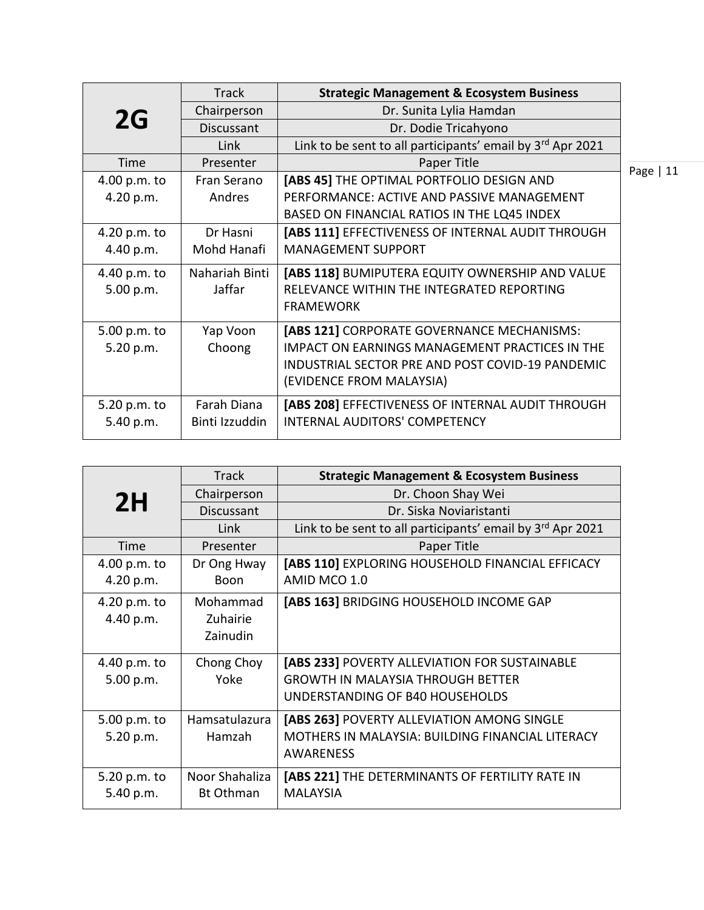|                           | <b>Track</b>                  | <b>Strategic Management &amp; Ecosystem Business</b>                                                                                                                         |           |
|---------------------------|-------------------------------|------------------------------------------------------------------------------------------------------------------------------------------------------------------------------|-----------|
| 2G                        | Chairperson                   | Dr. Sunita Lylia Hamdan                                                                                                                                                      |           |
|                           | Discussant                    | Dr. Dodie Tricahyono                                                                                                                                                         |           |
|                           | Link                          | Link to be sent to all participants' email by 3rd Apr 2021                                                                                                                   |           |
| Time                      | Presenter                     | Paper Title                                                                                                                                                                  | Page   11 |
| 4.00 p.m. to              | Fran Serano                   | [ABS 45] THE OPTIMAL PORTFOLIO DESIGN AND                                                                                                                                    |           |
| 4.20 p.m.                 | Andres                        | PERFORMANCE: ACTIVE AND PASSIVE MANAGEMENT                                                                                                                                   |           |
|                           |                               | BASED ON FINANCIAL RATIOS IN THE LQ45 INDEX                                                                                                                                  |           |
| 4.20 p.m. to              | Dr Hasni                      | [ABS 111] EFFECTIVENESS OF INTERNAL AUDIT THROUGH                                                                                                                            |           |
| 4.40 p.m.                 | Mohd Hanafi                   | <b>MANAGEMENT SUPPORT</b>                                                                                                                                                    |           |
| 4.40 p.m. to<br>5.00 p.m. | Nahariah Binti<br>Jaffar      | [ABS 118] BUMIPUTERA EQUITY OWNERSHIP AND VALUE<br>RELEVANCE WITHIN THE INTEGRATED REPORTING<br><b>FRAMEWORK</b>                                                             |           |
| 5.00 p.m. to<br>5.20 p.m. | Yap Voon<br>Choong            | [ABS 121] CORPORATE GOVERNANCE MECHANISMS:<br>IMPACT ON EARNINGS MANAGEMENT PRACTICES IN THE<br>INDUSTRIAL SECTOR PRE AND POST COVID-19 PANDEMIC<br>(EVIDENCE FROM MALAYSIA) |           |
| 5.20 p.m. to<br>5.40 p.m. | Farah Diana<br>Binti Izzuddin | [ABS 208] EFFECTIVENESS OF INTERNAL AUDIT THROUGH<br>INTERNAL AUDITORS' COMPETENCY                                                                                           |           |

|              | <b>Track</b>      | <b>Strategic Management &amp; Ecosystem Business</b>                 |
|--------------|-------------------|----------------------------------------------------------------------|
| 2H           | Chairperson       | Dr. Choon Shay Wei                                                   |
|              | <b>Discussant</b> | Dr. Siska Noviaristanti                                              |
|              | Link              | Link to be sent to all participants' email by 3rd Apr 2021           |
| Time         | Presenter         | Paper Title                                                          |
| 4.00 p.m. to | Dr Ong Hway       | [ABS 110] EXPLORING HOUSEHOLD FINANCIAL EFFICACY                     |
| 4.20 p.m.    | <b>Boon</b>       | AMID MCO 1.0                                                         |
| 4.20 p.m. to | Mohammad          | [ABS 163] BRIDGING HOUSEHOLD INCOME GAP                              |
| 4.40 p.m.    | Zuhairie          |                                                                      |
|              | Zainudin          |                                                                      |
| 4.40 p.m. to | Chong Choy        | [ABS 233] POVERTY ALLEVIATION FOR SUSTAINABLE                        |
| 5.00 p.m.    | Yoke              | <b>GROWTH IN MALAYSIA THROUGH BETTER</b>                             |
|              |                   | UNDERSTANDING OF B40 HOUSEHOLDS                                      |
|              |                   |                                                                      |
| 5.00 p.m. to | Hamsatulazura     | [ABS 263] POVERTY ALLEVIATION AMONG SINGLE                           |
| 5.20 p.m.    | Hamzah            | MOTHERS IN MALAYSIA: BUILDING FINANCIAL LITERACY<br><b>AWARENESS</b> |
|              |                   |                                                                      |
| 5.20 p.m. to | Noor Shahaliza    | [ABS 221] THE DETERMINANTS OF FERTILITY RATE IN                      |
| 5.40 p.m.    | <b>Bt Othman</b>  | <b>MALAYSIA</b>                                                      |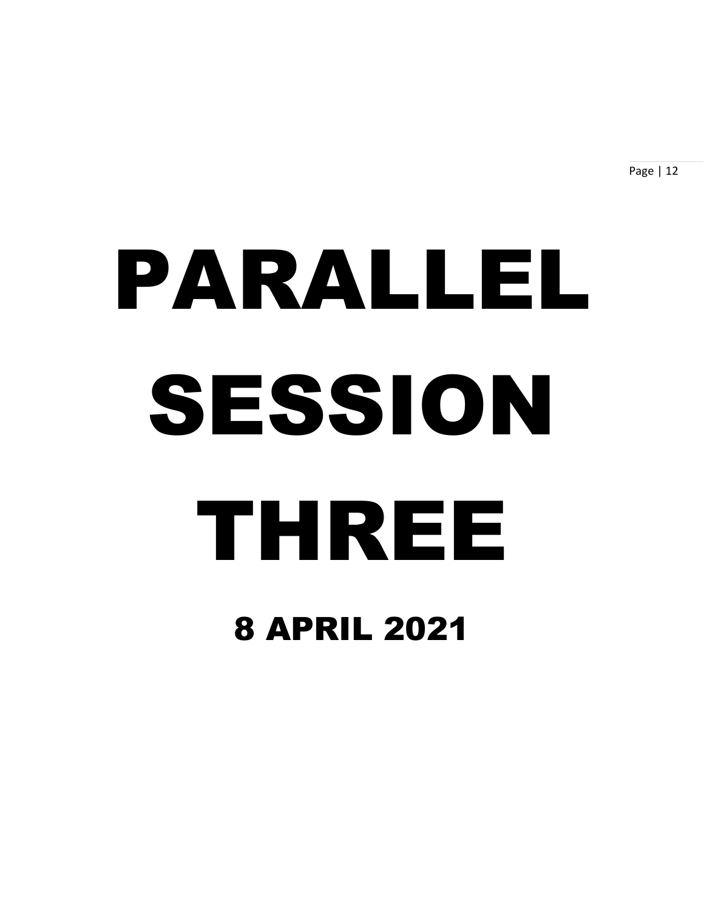Page | 12

# PARALLEL SESSION THREE 8 APRIL 2021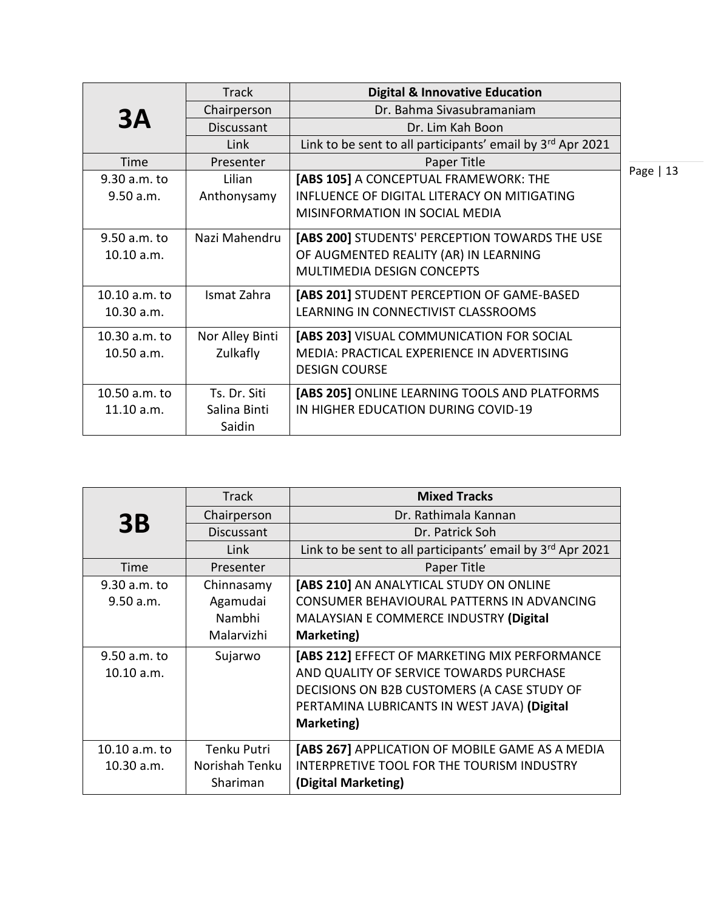|               | <b>Track</b>    | <b>Digital &amp; Innovative Education</b>                  |            |
|---------------|-----------------|------------------------------------------------------------|------------|
| 3A            | Chairperson     | Dr. Bahma Sivasubramaniam                                  |            |
|               | Discussant      | Dr. Lim Kah Boon                                           |            |
|               | Link            | Link to be sent to all participants' email by 3rd Apr 2021 |            |
| Time          | Presenter       | Paper Title                                                |            |
| 9.30 a.m. to  | Lilian          | [ABS 105] A CONCEPTUAL FRAMEWORK: THE                      | Page $ 13$ |
| 9.50 a.m.     | Anthonysamy     | INFLUENCE OF DIGITAL LITERACY ON MITIGATING                |            |
|               |                 | MISINFORMATION IN SOCIAL MEDIA                             |            |
| 9.50 a.m. to  | Nazi Mahendru   | [ABS 200] STUDENTS' PERCEPTION TOWARDS THE USE             |            |
| 10.10 a.m.    |                 | OF AUGMENTED REALITY (AR) IN LEARNING                      |            |
|               |                 | <b>MULTIMEDIA DESIGN CONCEPTS</b>                          |            |
| 10.10 a.m. to | Ismat Zahra     | [ABS 201] STUDENT PERCEPTION OF GAME-BASED                 |            |
| 10.30 a.m.    |                 | LEARNING IN CONNECTIVIST CLASSROOMS                        |            |
| 10.30 a.m. to | Nor Alley Binti | [ABS 203] VISUAL COMMUNICATION FOR SOCIAL                  |            |
| 10.50 a.m.    | Zulkafly        | MEDIA: PRACTICAL EXPERIENCE IN ADVERTISING                 |            |
|               |                 | <b>DESIGN COURSE</b>                                       |            |
| 10.50 a.m. to | Ts. Dr. Siti    | [ABS 205] ONLINE LEARNING TOOLS AND PLATFORMS              |            |
| 11.10 a.m.    | Salina Binti    | IN HIGHER EDUCATION DURING COVID-19                        |            |
|               | Saidin          |                                                            |            |

|               | <b>Track</b>   | <b>Mixed Tracks</b>                                        |
|---------------|----------------|------------------------------------------------------------|
|               | Chairperson    | Dr. Rathimala Kannan                                       |
| <b>3B</b>     | Discussant     | Dr. Patrick Soh                                            |
|               | Link           | Link to be sent to all participants' email by 3rd Apr 2021 |
| Time          | Presenter      | Paper Title                                                |
| 9.30 a.m. to  | Chinnasamy     | [ABS 210] AN ANALYTICAL STUDY ON ONLINE                    |
| 9.50 a.m.     | Agamudai       | CONSUMER BEHAVIOURAL PATTERNS IN ADVANCING                 |
|               | Nambhi         | MALAYSIAN E COMMERCE INDUSTRY (Digital                     |
|               | Malarvizhi     | Marketing)                                                 |
| 9.50 a.m. to  | Sujarwo        | [ABS 212] EFFECT OF MARKETING MIX PERFORMANCE              |
| 10.10 a.m.    |                | AND QUALITY OF SERVICE TOWARDS PURCHASE                    |
|               |                | DECISIONS ON B2B CUSTOMERS (A CASE STUDY OF                |
|               |                | PERTAMINA LUBRICANTS IN WEST JAVA) (Digital                |
|               |                | Marketing)                                                 |
| 10.10 a.m. to | Tenku Putri    | [ABS 267] APPLICATION OF MOBILE GAME AS A MEDIA            |
| 10.30 a.m.    | Norishah Tenku | INTERPRETIVE TOOL FOR THE TOURISM INDUSTRY                 |
|               | Shariman       | (Digital Marketing)                                        |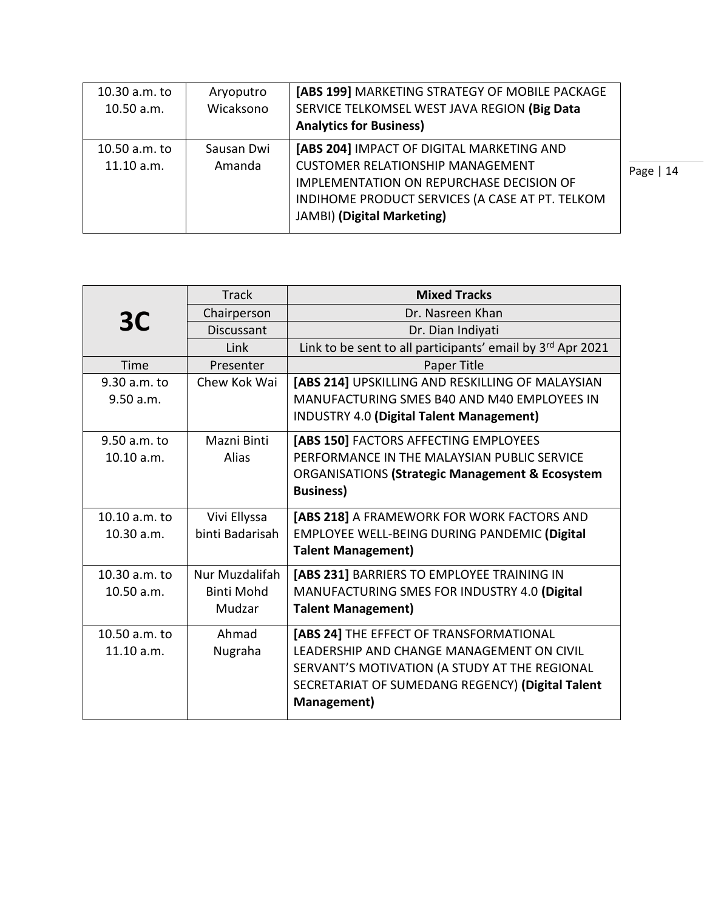| 10.30 a.m. to<br>10.50 a.m. | Aryoputro<br>Wicaksono | [ABS 199] MARKETING STRATEGY OF MOBILE PACKAGE<br>SERVICE TELKOMSEL WEST JAVA REGION (Big Data<br><b>Analytics for Business)</b>                                                                                         |            |
|-----------------------------|------------------------|--------------------------------------------------------------------------------------------------------------------------------------------------------------------------------------------------------------------------|------------|
| 10.50 a.m. to<br>11.10 a.m. | Sausan Dwi<br>Amanda   | [ABS 204] IMPACT OF DIGITAL MARKETING AND<br><b>CUSTOMER RELATIONSHIP MANAGEMENT</b><br><b>IMPLEMENTATION ON REPURCHASE DECISION OF</b><br>INDIHOME PRODUCT SERVICES (A CASE AT PT. TELKOM<br>JAMBI) (Digital Marketing) | Page $ 14$ |

|                | <b>Track</b>      | <b>Mixed Tracks</b>                                        |
|----------------|-------------------|------------------------------------------------------------|
| 3C             | Chairperson       | Dr. Nasreen Khan                                           |
|                | Discussant        | Dr. Dian Indiyati                                          |
|                | Link              | Link to be sent to all participants' email by 3rd Apr 2021 |
| Time           | Presenter         | Paper Title                                                |
| $9.30 a.m.$ to | Chew Kok Wai      | [ABS 214] UPSKILLING AND RESKILLING OF MALAYSIAN           |
| 9.50 a.m.      |                   | MANUFACTURING SMES B40 AND M40 EMPLOYEES IN                |
|                |                   | <b>INDUSTRY 4.0 (Digital Talent Management)</b>            |
| 9.50 a.m. to   | Mazni Binti       | [ABS 150] FACTORS AFFECTING EMPLOYEES                      |
| 10.10 a.m.     | Alias             | PERFORMANCE IN THE MALAYSIAN PUBLIC SERVICE                |
|                |                   | <b>ORGANISATIONS (Strategic Management &amp; Ecosystem</b> |
|                |                   | <b>Business)</b>                                           |
| 10.10 a.m. to  | Vivi Ellyssa      | [ABS 218] A FRAMEWORK FOR WORK FACTORS AND                 |
| 10.30 a.m.     | binti Badarisah   | <b>EMPLOYEE WELL-BEING DURING PANDEMIC (Digital</b>        |
|                |                   | <b>Talent Management)</b>                                  |
| 10.30 a.m. to  | Nur Muzdalifah    | [ABS 231] BARRIERS TO EMPLOYEE TRAINING IN                 |
| 10.50 a.m.     | <b>Binti Mohd</b> | MANUFACTURING SMES FOR INDUSTRY 4.0 (Digital               |
|                | Mudzar            | <b>Talent Management)</b>                                  |
| 10.50 a.m. to  | Ahmad             | [ABS 24] THE EFFECT OF TRANSFORMATIONAL                    |
| 11.10 a.m.     | Nugraha           | LEADERSHIP AND CHANGE MANAGEMENT ON CIVIL                  |
|                |                   | SERVANT'S MOTIVATION (A STUDY AT THE REGIONAL              |
|                |                   | SECRETARIAT OF SUMEDANG REGENCY) (Digital Talent           |
|                |                   | Management)                                                |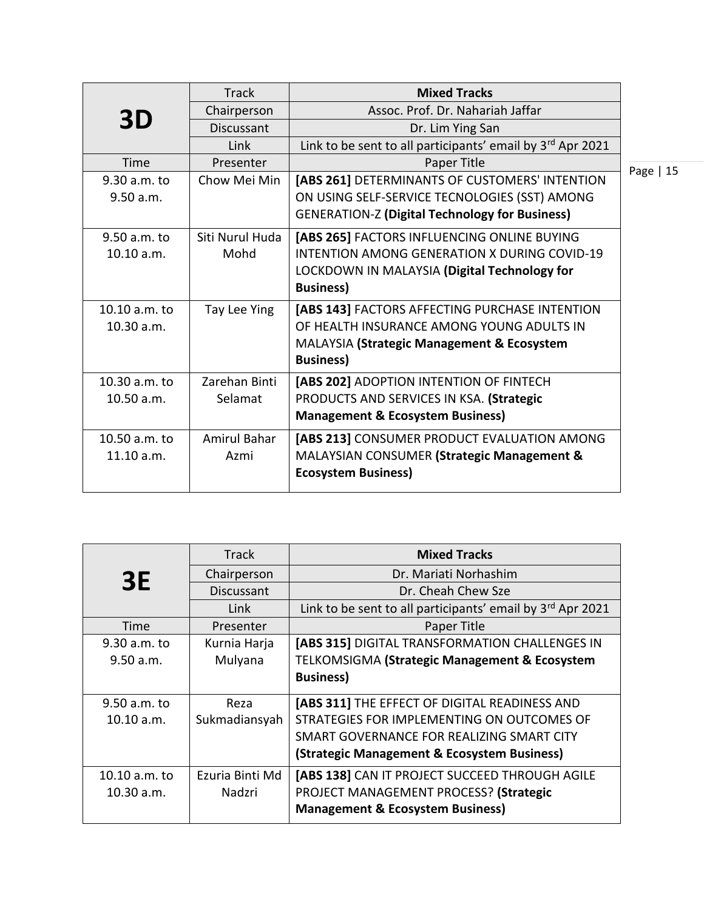|                | <b>Track</b>      | <b>Mixed Tracks</b>                                        |           |
|----------------|-------------------|------------------------------------------------------------|-----------|
| 3D             | Chairperson       | Assoc. Prof. Dr. Nahariah Jaffar                           |           |
|                | <b>Discussant</b> | Dr. Lim Ying San                                           |           |
|                | Link              | Link to be sent to all participants' email by 3rd Apr 2021 |           |
| Time           | Presenter         | Paper Title                                                | Page   15 |
| 9.30 a.m. to   | Chow Mei Min      | [ABS 261] DETERMINANTS OF CUSTOMERS' INTENTION             |           |
| 9.50 a.m.      |                   | ON USING SELF-SERVICE TECNOLOGIES (SST) AMONG              |           |
|                |                   | <b>GENERATION-Z (Digital Technology for Business)</b>      |           |
| $9.50$ a.m. to | Siti Nurul Huda   | [ABS 265] FACTORS INFLUENCING ONLINE BUYING                |           |
| 10.10 a.m.     | Mohd              | INTENTION AMONG GENERATION X DURING COVID-19               |           |
|                |                   | LOCKDOWN IN MALAYSIA (Digital Technology for               |           |
|                |                   | <b>Business)</b>                                           |           |
| 10.10 a.m. to  | Tay Lee Ying      | [ABS 143] FACTORS AFFECTING PURCHASE INTENTION             |           |
| 10.30 a.m.     |                   | OF HEALTH INSURANCE AMONG YOUNG ADULTS IN                  |           |
|                |                   | MALAYSIA (Strategic Management & Ecosystem                 |           |
|                |                   | <b>Business)</b>                                           |           |
| 10.30 a.m. to  | Zarehan Binti     | [ABS 202] ADOPTION INTENTION OF FINTECH                    |           |
| 10.50 a.m.     | Selamat           | PRODUCTS AND SERVICES IN KSA. (Strategic                   |           |
|                |                   | <b>Management &amp; Ecosystem Business)</b>                |           |
| 10.50 a.m. to  | Amirul Bahar      | [ABS 213] CONSUMER PRODUCT EVALUATION AMONG                |           |
| 11.10 a.m.     | Azmi              | MALAYSIAN CONSUMER (Strategic Management &                 |           |
|                |                   | <b>Ecosystem Business)</b>                                 |           |
|                |                   |                                                            |           |

|               | <b>Track</b>    | <b>Mixed Tracks</b>                                        |
|---------------|-----------------|------------------------------------------------------------|
| <b>3E</b>     | Chairperson     | Dr. Mariati Norhashim                                      |
|               | Discussant      | Dr. Cheah Chew Sze                                         |
|               | Link            | Link to be sent to all participants' email by 3rd Apr 2021 |
| Time          | Presenter       | Paper Title                                                |
| 9.30 a.m. to  | Kurnia Harja    | [ABS 315] DIGITAL TRANSFORMATION CHALLENGES IN             |
| 9.50 a.m.     | Mulyana         | TELKOMSIGMA (Strategic Management & Ecosystem              |
|               |                 | <b>Business)</b>                                           |
| 9.50 a.m. to  | Reza            | [ABS 311] THE EFFECT OF DIGITAL READINESS AND              |
| 10.10 a.m.    | Sukmadiansyah   | STRATEGIES FOR IMPLEMENTING ON OUTCOMES OF                 |
|               |                 | SMART GOVERNANCE FOR REALIZING SMART CITY                  |
|               |                 | (Strategic Management & Ecosystem Business)                |
| 10.10 a.m. to | Ezuria Binti Md | [ABS 138] CAN IT PROJECT SUCCEED THROUGH AGILE             |
| 10.30 a.m.    | Nadzri          | PROJECT MANAGEMENT PROCESS? (Strategic                     |
|               |                 | <b>Management &amp; Ecosystem Business)</b>                |